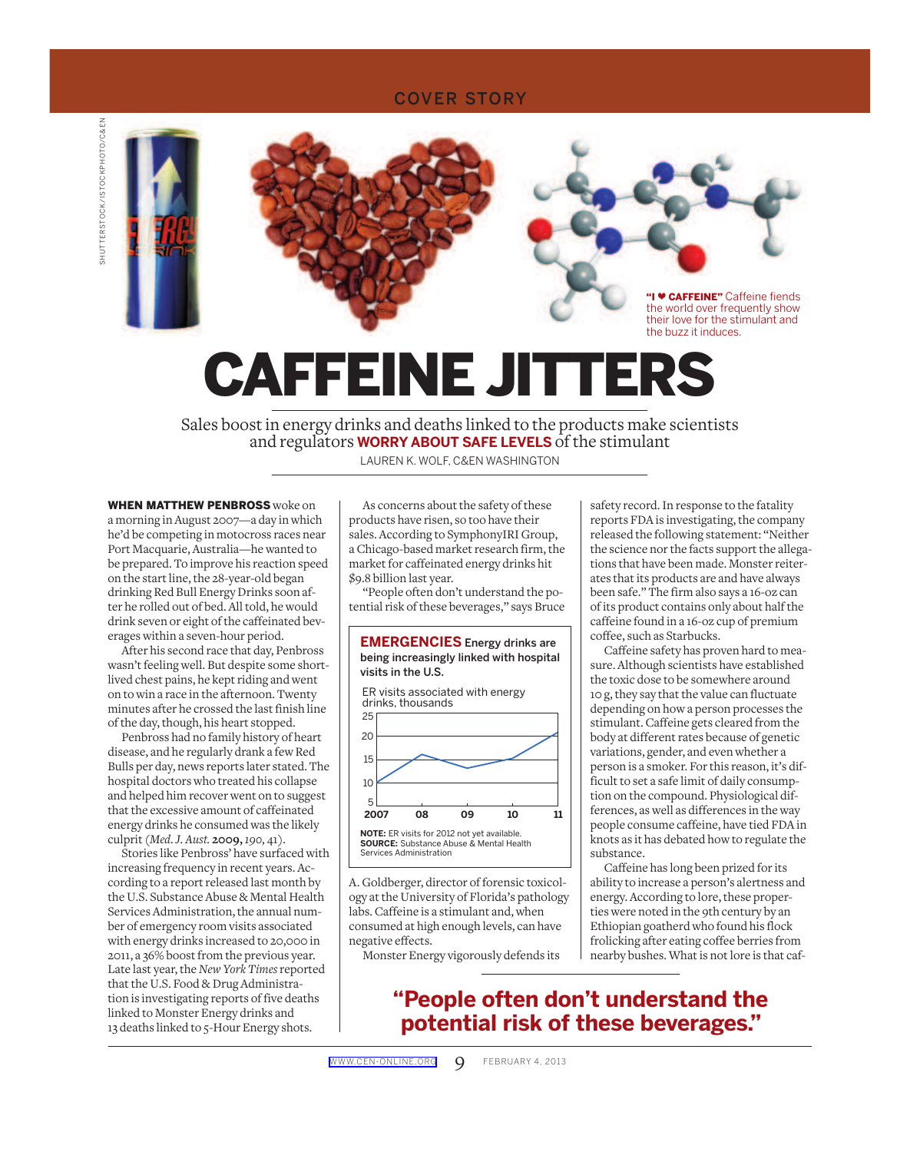### COVER STORY

**SHUTTERSTOCK/ISTOCKPHOTO/C&EN** SHUTTERSTOCK/ISTOCKPHOTO/C&EN



CAFFEINE JITTERS

 Sales boost in energy drinks and deaths linked to the products make scientists and regulators **WORRY ABOUT SAFE LEVELS** of the stimulant

LAUREN K. WOLF, C&EN WASHINGTON

 WHEN MATTHEW PENBROSS woke on a morning in August 2007—a day in which he'd be competing in motocross races near Port Macquarie, Australia—he wanted to be prepared. To improve his reaction speed on the start line, the 28-year-old began drinking Red Bull Energy Drinks soon after he rolled out of bed. All told, he would drink seven or eight of the caffeinated beverages within a seven-hour period.

 After his second race that day, Penbross wasn't feeling well. But despite some shortlived chest pains, he kept riding and went on to win a race in the afternoon. Twenty minutes after he crossed the last finish line of the day, though, his heart stopped.

 Penbross had no family history of heart disease, and he regularly drank a few Red Bulls per day, news reports later stated. The hospital doctors who treated his collapse and helped him recover went on to suggest that the excessive amount of caffeinated energy drinks he consumed was the likely culprit ( *Med. J. Aust.* **2009,** *190,* 41).

 Stories like Penbross' have surfaced with increasing frequency in recent years. According to a report released last month by the U.S. Substance Abuse & Mental Health Services Administration, the annual number of emergency room visits associated with energy drinks increased to 20,000 in 2011, a 36% boost from the previous year. Late last year, the *New York Times* reported that the U.S. Food & Drug Administration is investigating reports of five deaths linked to Monster Energy drinks and 13 deaths linked to 5-Hour Energy shots.

 As concerns about the safety of these products have risen, so too have their sales. According to SymphonyIRI Group, a Chicago-based market research firm, the market for caffeinated energy drinks hit \$9.8 billion last year.

 "People often don't understand the potential risk of these beverages," says Bruce



A. Goldberger, director of forensic toxicology at the University of Florida's pathology labs. Caffeine is a stimulant and, when consumed at high enough levels, can have negative effects.

Monster Energy vigorously defends its

safety record. In response to the fatality reports FDA is investigating, the company released the following statement: "Neither the science nor the facts support the allegations that have been made. Monster reiterates that its products are and have always been safe." The firm also says a 16-oz can of its product contains only about half the caffeine found in a 16-oz cup of premium coffee, such as Starbucks.

 Caffeine safety has proven hard to measure. Although scientists have established the toxic dose to be somewhere around 10 g, they say that the value can fluctuate depending on how a person processes the stimulant. Caffeine gets cleared from the body at different rates because of genetic variations, gender, and even whether a person is a smoker. For this reason, it's difficult to set a safe limit of daily consumption on the compound. Physiological differences, as well as differences in the way people consume caffeine, have tied FDA in knots as it has debated how to regulate the substance.

 Caffeine has long been prized for its ability to increase a person's alertness and energy. According to lore, these properties were noted in the 9th century by an Ethiopian goatherd who found his flock frolicking after eating coffee berries from nearby bushes. What is not lore is that caf-

## **"People often don't understand the potential risk of these beverages."**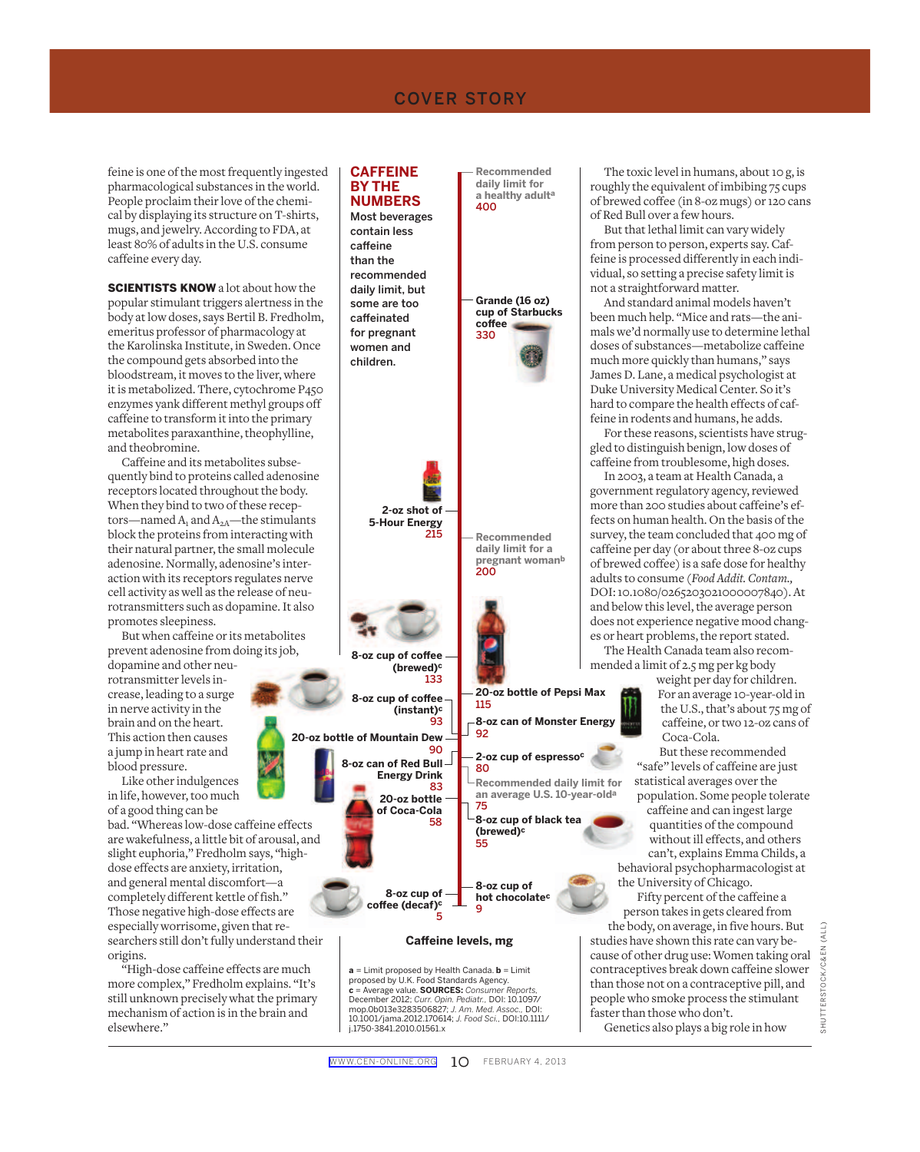feine is one of the most frequently ingested pharmacological substances in the world. People proclaim their love of the chemical by displaying its structure on T-shirts, mugs, and jewelry. According to FDA, at least 80% of adults in the U.S. consume caffeine every day.

**SCIENTISTS KNOW** a lot about how the popular stimulant triggers alertness in the body at low doses, says Bertil B. Fredholm, emeritus professor of pharmacology at the Karolinska Institute, in Sweden. Once the compound gets absorbed into the bloodstream, it moves to the liver, where it is metabolized. There, cytochrome P450 enzymes yank different methyl groups off caffeine to transform it into the primary metabolites paraxanthine, theophylline, and theobromine.

 Caffeine and its metabolites subsequently bind to proteins called adenosine receptors located throughout the body. When they bind to two of these receptors—named  $A_1$  and  $A_{2A}$ —the stimulants block the proteins from interacting with their natural partner, the small molecule adenosine. Normally, adenosine's interaction with its receptors regulates nerve cell activity as well as the release of neurotransmitters such as dopamine. It also promotes sleepiness.

 But when caffeine or its metabolites prevent adenosine from doing its job,

dopamine and other neurotransmitter levels increase, leading to a surge in nerve activity in the brain and on the heart. This action then causes a jump in heart rate and blood pressure.

 Like other indulgences in life, however, too much of a good thing can be

bad. "Whereas low-dose caffeine effects are wakefulness, a little bit of arousal, and slight euphoria," Fredholm says, "highdose effects are anxiety, irritation, and general mental discomfort—a completely different kettle of fish." Those negative high-dose effects are especially worrisome, given that researchers still don't fully understand their origins.

 "High-dose caffeine effects are much more complex," Fredholm explains. "It's still unknown precisely what the primary mechanism of action is in the brain and elsewhere."

#### **8-oz cup of cofee (decaf)c** 5 **8-oz cup of hot chocolatec** 9 **20-oz bottle of Coca-Cola** 58 **2-oz cup of espressoc** 80 **20-oz bottle of Mountain Dew** 90 **20-oz bottle of Pepsi Max** 115 **Grande (16 oz) cup of Starbucks cofee** 330 **8-oz cup of black tea (brewed)c** 55 **8-oz can of Red Bull Energy Drink** 83 **Cafeine levels, mg 8-oz can of Monster Energy** 92 **8-oz cup of cofee (instant)c** 93 **8-oz cup of cofee (brewed)c** 133 **2-oz shot of 5-Hour Energy** 215 **Recommended daily limit for an average U.S. 10-year-olda** 75 **Recommended daily limit for a pregnant womanb** 200 **Recommended daily limit for a healthy adulta** 400  **CAFFEINE BY THE NUMBERS**  Most beverages contain less caffeine than the recommended daily limit, but some are too caffeinated for pregnant women and children.

 **a** = Limit proposed by Health Canada. **b** = Limit proposed by U.K. Food Standards Agency. **c** = Average value. **SOURCES:** *Consumer Reports,*  December 2012; *Curr. Opin. Pediatr.,* DOI: 10.1097/ mop.0b013e3283506827; *J. Am. Med. Assoc.,* DOI: 10.1001/jama.2012.170614; *J. Food Sci.,* DOI:10.1111/ j.1750-3841.2010.01561.x

 The toxic level in humans, about 10 g, is roughly the equivalent of imbibing 75 cups of brewed coffee (in 8-oz mugs) or 120 cans of Red Bull over a few hours.

 But that lethal limit can vary widely from person to person, experts say. Caffeine is processed differently in each individual, so setting a precise safety limit is not a straightforward matter.

 And standard animal models haven't been much help. "Mice and rats—the animals we'd normally use to determine lethal doses of substances—metabolize caffeine much more quickly than humans," says James D. Lane, a medical psychologist at Duke University Medical Center. So it's hard to compare the health effects of caffeine in rodents and humans, he adds.

 For these reasons, scientists have struggled to distinguish benign, low doses of caffeine from troublesome, high doses.

 In 2003, a team at Health Canada, a government regulatory agency, reviewed more than 200 studies about caffeine's effects on human health. On the basis of the survey, the team concluded that 400 mg of caffeine per day (or about three 8-oz cups of brewed coffee) is a safe dose for healthy adults to consume ( *Food Addit. Contam.,*  DOI: 10.1080/0265203021000007840 ). At and below this level, the average person does not experience negative mood changes or heart problems, the report stated.

 The Health Canada team also recommended a limit of 2.5 mg per kg body

weight per day for children. For an average 10-year-old in the U.S., that's about 75 mg of caffeine, or two 12-oz cans of Coca-Cola.

 But these recommended "safe" levels of caffeine are just statistical averages over the population. Some people tolerate

caffeine and can ingest large quantities of the compound without ill effects, and others can't, explains Emma Childs, a behavioral psychopharmacologist at the University of Chicago.

 Fifty percent of the caffeine a person takes in gets cleared from the body, on average, in five hours. But

studies have shown this rate can vary because of other drug use: Women taking oral contraceptives break down caffeine slower than those not on a contraceptive pill, and people who smoke process the stimulant faster than those who don't.

Genetics also plays a big role in how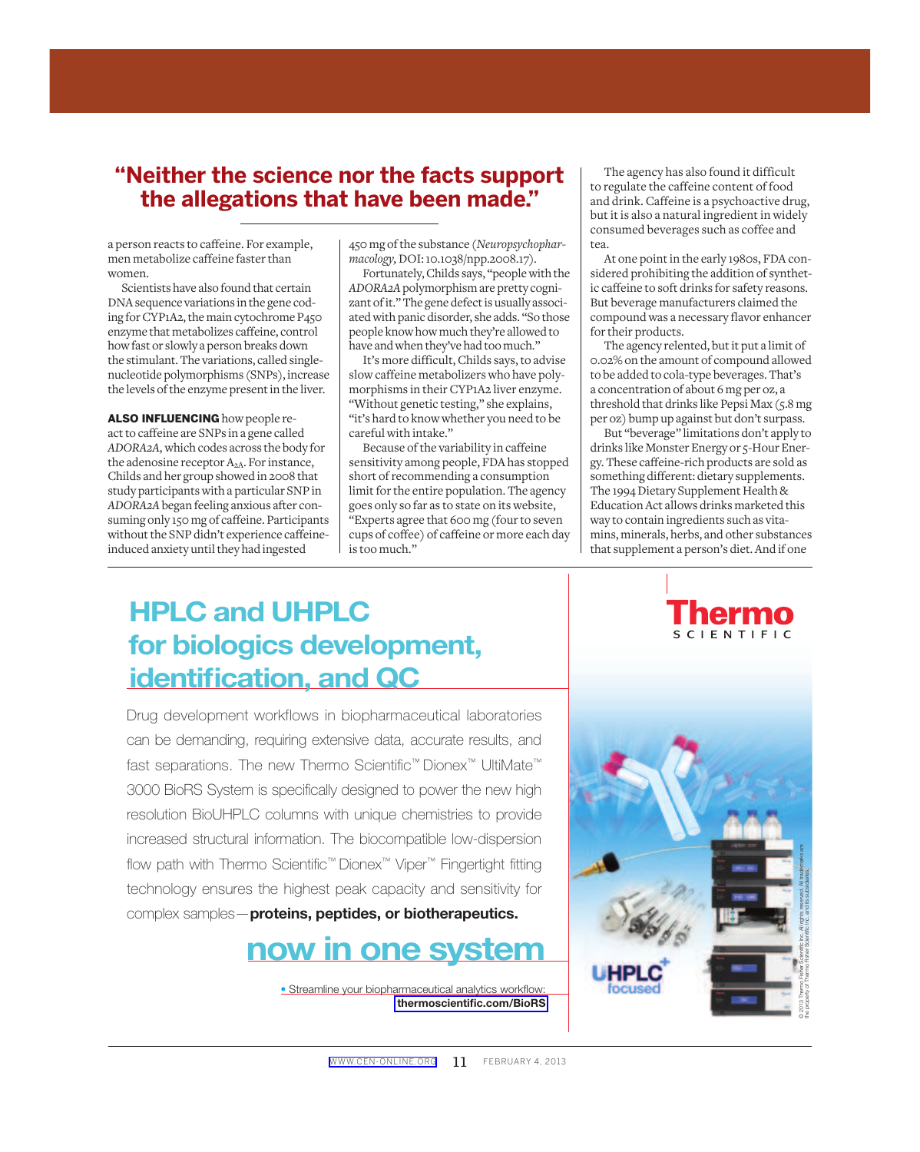## **"Neither the science nor the facts support the allegations that have been made."**

a person reacts to caffeine. For example, men metabolize caffeine faster than women.

 Scientists have also found that certain DNA sequence variations in the gene coding for CYP1A2, the main cytochrome P450 enzyme that metabolizes caffeine, control how fast or slowly a person breaks down the stimulant. The variations, called singlenucleotide polymorphisms (SNPs), increase the levels of the enzyme present in the liver.

ALSO INFLUENCING how people react to caffeine are SNPs in a gene called *ADORA2A,* which codes across the body for the adenosine receptor  $A_{2A}$ . For instance, Childs and her group showed in 2008 that study participants with a particular SNP in *ADORA2A* began feeling anxious after consuming only 150 mg of caffeine. Participants without the SNP didn't experience caffeineinduced anxiety until they had ingested

450 mg of the substance ( *Neuropsychopharmacology,* DOI: 10.1038/npp.2008.17 ).

 Fortunately, Childs says, "people with the *ADORA2A* polymorphism are pretty cognizant of it." The gene defect is usually associated with panic disorder, she adds. "So those people know how much they're allowed to have and when they've had too much."

 It's more difficult, Childs says, to advise slow caffeine metabolizers who have polymorphisms in their CYP1A2 liver enzyme. "Without genetic testing," she explains, "it's hard to know whether you need to be careful with intake."

 Because of the variability in caffeine sensitivity among people, FDA has stopped short of recommending a consumption limit for the entire population. The agency goes only so far as to state on its website, "Experts agree that 600 mg (four to seven cups of coffee) of caffeine or more each day is too much."

 The agency has also found it difficult to regulate the caffeine content of food and drink. Caffeine is a psychoactive drug, but it is also a natural ingredient in widely consumed beverages such as coffee and tea.

 At one point in the early 1980s, FDA considered prohibiting the addition of synthetic caffeine to soft drinks for safety reasons. But beverage manufacturers claimed the compound was a necessary flavor enhancer for their products.

 The agency relented, but it put a limit of 0.02% on the amount of compound allowed to be added to cola-type beverages. That's a concentration of about 6 mg per oz, a threshold that drinks like Pepsi Max (5.8 mg per oz) bump up against but don't surpass.

 But "beverage" limitations don't apply to drinks like Monster Energy or 5-Hour Energy. These caffeine-rich products are sold as something different: dietary supplements. The 1994 Dietary Supplement Health & Education Act allows drinks marketed this way to contain ingredients such as vitamins, minerals, herbs, and other substances that supplement a person's diet. And if one

# HPLC and UHPLC for biologics development, identification, and QC

Drug development workflows in biopharmaceutical laboratories can be demanding, requiring extensive data, accurate results, and fast separations. The new Thermo Scientific™ Dionex™ UltiMate™ 3000 BioRS System is specifically designed to power the new high resolution BioUHPLC columns with unique chemistries to provide increased structural information. The biocompatible low-dispersion flow path with Thermo Scientific™ Dionex™ Viper™ Fingertight fitting technology ensures the highest peak capacity and sensitivity for complex samples—proteins, peptides, or biotherapeutics.



• Streamline your biopharmaceutical analytics workflow: [thermoscientific.com/BioRS](http://thermoscientific.com/biors)